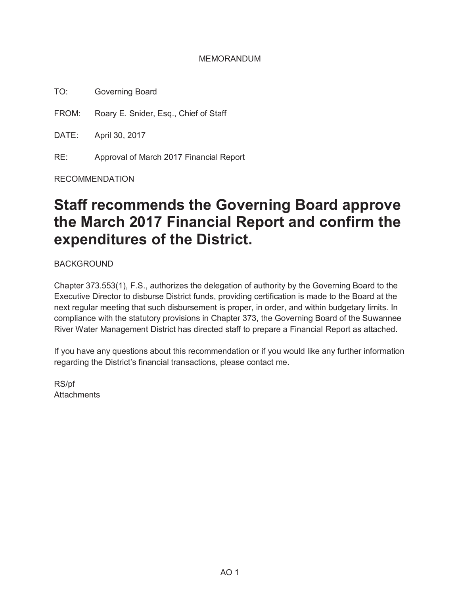### MEMORANDUM

TO: Governing Board

FROM: Roary E. Snider, Esq., Chief of Staff

DATE: April 30, 2017

RE: Approval of March 2017 Financial Report

RECOMMENDATION

# **Staff recommends the Governing Board approve the March 2017 Financial Report and confirm the expenditures of the District.**

BACKGROUND

Chapter 373.553(1), F.S., authorizes the delegation of authority by the Governing Board to the Executive Director to disburse District funds, providing certification is made to the Board at the next regular meeting that such disbursement is proper, in order, and within budgetary limits. In compliance with the statutory provisions in Chapter 373, the Governing Board of the Suwannee River Water Management District has directed staff to prepare a Financial Report as attached.

If you have any questions about this recommendation or if you would like any further information regarding the District's financial transactions, please contact me.

RS/pf **Attachments**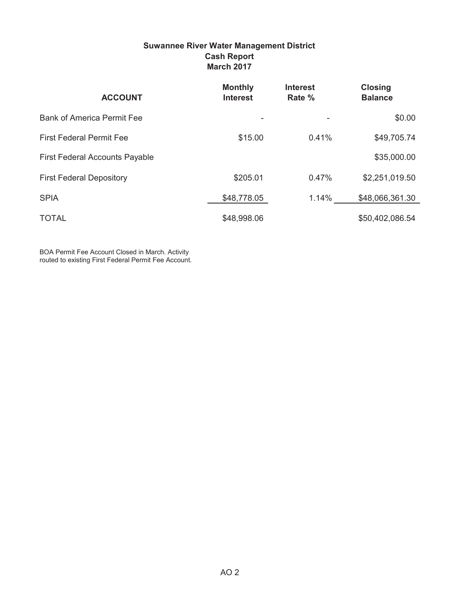### **Suwannee River Water Management District Cash Report March 2017**

| <b>ACCOUNT</b>                        | <b>Monthly</b><br><b>Interest</b> | <b>Interest</b><br>Rate % | <b>Closing</b><br><b>Balance</b> |
|---------------------------------------|-----------------------------------|---------------------------|----------------------------------|
| <b>Bank of America Permit Fee</b>     |                                   |                           | \$0.00                           |
| <b>First Federal Permit Fee</b>       | \$15.00                           | 0.41%                     | \$49,705.74                      |
| <b>First Federal Accounts Payable</b> |                                   |                           | \$35,000.00                      |
| <b>First Federal Depository</b>       | \$205.01                          | 0.47%                     | \$2,251,019.50                   |
| <b>SPIA</b>                           | \$48,778.05                       | 1.14%                     | \$48,066,361.30                  |
| <b>TOTAL</b>                          | \$48,998.06                       |                           | \$50,402,086.54                  |

BOA Permit Fee Account Closed in March. Activity routed to existing First Federal Permit Fee Account.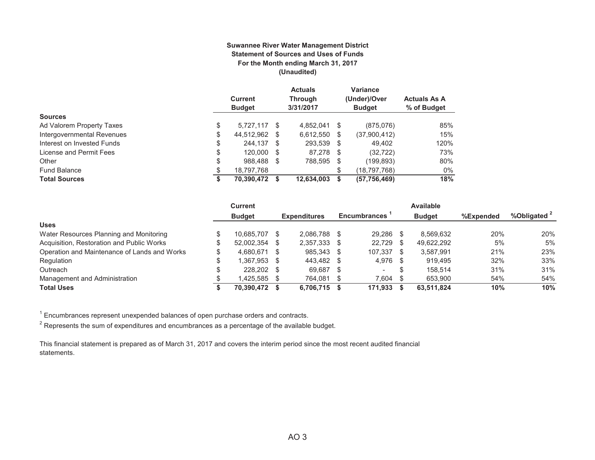#### **Suwannee River Water Management District Statement of Sources and Uses of Funds For the Month ending March 31, 2017 (Unaudited)**

|                            | <b>Current</b><br><b>Budget</b> |   | <b>Actuals</b><br>Through<br>3/31/2017 |    | Variance<br>(Under)/Over<br><b>Budget</b> | <b>Actuals As A</b><br>% of Budget |
|----------------------------|---------------------------------|---|----------------------------------------|----|-------------------------------------------|------------------------------------|
| <b>Sources</b>             |                                 |   |                                        |    |                                           |                                    |
| Ad Valorem Property Taxes  | \$<br>5.727.117 \$              |   | 4.852.041 \$                           |    | (875,076)                                 | 85%                                |
| Intergovernmental Revenues | \$<br>44,512,962                | S | 6,612,550                              | \$ | (37,900,412)                              | 15%                                |
| Interest on Invested Funds | \$<br>244.137 \$                |   | 293.539 \$                             |    | 49.402                                    | 120%                               |
| License and Permit Fees    | \$<br>120,000 \$                |   | 87.278 \$                              |    | (32, 722)                                 | 73%                                |
| Other                      | \$<br>988.488                   | S | 788,595 \$                             |    | (199, 893)                                | 80%                                |
| <b>Fund Balance</b>        | \$<br>18,797,768                |   |                                        | \$ | (18,797,768)                              | 0%                                 |
| <b>Total Sources</b>       | \$<br>70,390,472                |   | 12.634.003                             | S  | (57, 756, 469)                            | 18%                                |

|                                              | <b>Current</b> |      |                     |      |                          |    | <b>Available</b> |           |                         |
|----------------------------------------------|----------------|------|---------------------|------|--------------------------|----|------------------|-----------|-------------------------|
|                                              | <b>Budget</b>  |      | <b>Expenditures</b> |      | <b>Encumbrances</b>      |    | <b>Budget</b>    | %Expended | %Obligated <sup>2</sup> |
| <b>Uses</b>                                  |                |      |                     |      |                          |    |                  |           |                         |
| Water Resources Planning and Monitoring      | 10.685.707     | S    | 2.086.788           |      | 29.286                   |    | 8.569.632        | 20%       | 20%                     |
| Acquisition, Restoration and Public Works    | 52,002,354     | - \$ | 2,357,333           |      | 22,729                   | -S | 49.622.292       | 5%        | 5%                      |
| Operation and Maintenance of Lands and Works | 4.680.671      | - \$ | 985.343             | - \$ | 107.337                  |    | 3.587.991        | 21%       | 23%                     |
| Regulation                                   | 1.367.953      | - \$ | 443.482             | - \$ | 4.976                    |    | 919.495          | 32%       | 33%                     |
| Outreach                                     | 228,202 \$     |      | 69.687              | -S   | $\overline{\phantom{0}}$ |    | 158.514          | 31%       | 31%                     |
| Management and Administration                | 1.425.585      | - \$ | 764,081             |      | 7.604                    |    | 653.900          | 54%       | 54%                     |
| <b>Total Uses</b>                            | 70.390.472     |      | 6,706,715           |      | 171.933                  |    | 63.511.824       | 10%       | 10%                     |

 $1$  Encumbrances represent unexpended balances of open purchase orders and contracts.

 $^{\rm 2}$  Represents the sum of expenditures and encumbrances as a percentage of the available budget.

This financial statement is prepared as of March 31, 2017 and covers the interim period since the most recent audited financial statements.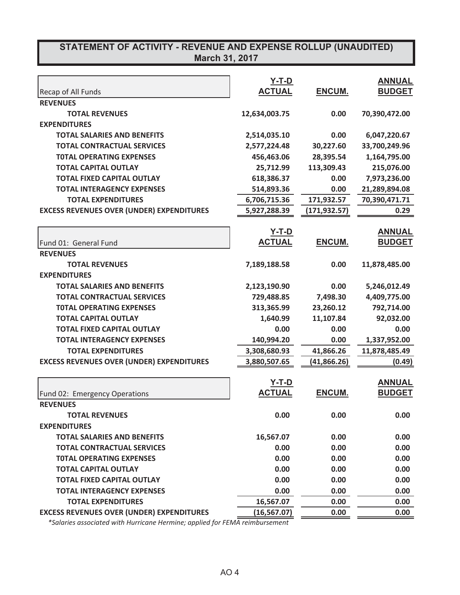# **STATEMENT OF ACTIVITY - REVENUE AND EXPENSE ROLLUP (UNAUDITED)**

| March 31, 2017 |  |
|----------------|--|
|----------------|--|

|                                                  | <b>Y-T-D</b>  |               | <b>ANNUAL</b> |
|--------------------------------------------------|---------------|---------------|---------------|
| Recap of All Funds                               | <b>ACTUAL</b> | ENCUM.        | <b>BUDGET</b> |
| <b>REVENUES</b>                                  |               |               |               |
| <b>TOTAL REVENUES</b>                            | 12,634,003.75 | 0.00          | 70,390,472.00 |
| <b>EXPENDITURES</b>                              |               |               |               |
| <b>TOTAL SALARIES AND BENEFITS</b>               | 2,514,035.10  | 0.00          | 6,047,220.67  |
| <b>TOTAL CONTRACTUAL SERVICES</b>                | 2,577,224.48  | 30,227.60     | 33,700,249.96 |
| <b>TOTAL OPERATING EXPENSES</b>                  | 456,463.06    | 28,395.54     | 1,164,795.00  |
| <b>TOTAL CAPITAL OUTLAY</b>                      | 25,712.99     | 113,309.43    | 215,076.00    |
| <b>TOTAL FIXED CAPITAL OUTLAY</b>                | 618,386.37    | 0.00          | 7,973,236.00  |
| <b>TOTAL INTERAGENCY EXPENSES</b>                | 514,893.36    | 0.00          | 21,289,894.08 |
| <b>TOTAL EXPENDITURES</b>                        | 6,706,715.36  | 171,932.57    | 70,390,471.71 |
| <b>EXCESS REVENUES OVER (UNDER) EXPENDITURES</b> | 5,927,288.39  | (171, 932.57) | 0.29          |
|                                                  | <u>Y-T-D</u>  |               | <b>ANNUAL</b> |
| Fund 01: General Fund                            | <b>ACTUAL</b> | ENCUM.        | <b>BUDGET</b> |
| <b>REVENUES</b>                                  |               |               |               |
| <b>TOTAL REVENUES</b>                            | 7,189,188.58  | 0.00          | 11,878,485.00 |
| <b>EXPENDITURES</b>                              |               |               |               |
| <b>TOTAL SALARIES AND BENEFITS</b>               | 2,123,190.90  | 0.00          | 5,246,012.49  |
| <b>TOTAL CONTRACTUAL SERVICES</b>                | 729,488.85    | 7,498.30      | 4,409,775.00  |
| <b>TOTAL OPERATING EXPENSES</b>                  | 313,365.99    | 23,260.12     | 792,714.00    |
| <b>TOTAL CAPITAL OUTLAY</b>                      | 1,640.99      | 11,107.84     | 92,032.00     |
| <b>TOTAL FIXED CAPITAL OUTLAY</b>                | 0.00          | 0.00          | 0.00          |
| <b>TOTAL INTERAGENCY EXPENSES</b>                | 140,994.20    | 0.00          | 1,337,952.00  |
| <b>TOTAL EXPENDITURES</b>                        | 3,308,680.93  | 41,866.26     | 11,878,485.49 |
| <b>EXCESS REVENUES OVER (UNDER) EXPENDITURES</b> | 3,880,507.65  | (41, 866.26)  | (0.49)        |
|                                                  | $Y-T-D$       |               | <b>ANNUAL</b> |
| Fund 02: Emergency Operations                    | <b>ACTUAL</b> | ENCUM.        | <b>BUDGET</b> |
| <b>REVENUES</b>                                  |               |               |               |
| <b>TOTAL REVENUES</b>                            | 0.00          | 0.00          | 0.00          |
| <b>EXPENDITURES</b>                              |               |               |               |
| <b>TOTAL SALARIES AND BENEFITS</b>               | 16,567.07     | 0.00          | 0.00          |
| <b>TOTAL CONTRACTUAL SERVICES</b>                | 0.00          | 0.00          | 0.00          |
| <b>TOTAL OPERATING EXPENSES</b>                  | 0.00          | 0.00          | 0.00          |
| <b>TOTAL CAPITAL OUTLAY</b>                      | 0.00          | 0.00          | 0.00          |
| <b>TOTAL FIXED CAPITAL OUTLAY</b>                | 0.00          | 0.00          | 0.00          |
| <b>TOTAL INTERAGENCY EXPENSES</b>                | 0.00          | 0.00          | 0.00          |
| <b>TOTAL EXPENDITURES</b>                        | 16,567.07     | 0.00          | 0.00          |
| <b>EXCESS REVENUES OVER (UNDER) EXPENDITURES</b> | (16, 567.07)  | 0.00          | 0.00          |

*\*Salaries associated with Hurricane Hermine; applied for FEMA reimbursement*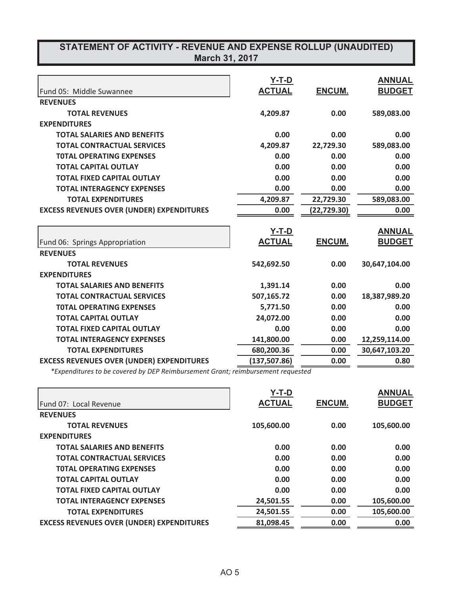| STATEMENT OF ACTIVITY - REVENUE AND EXPENSE ROLLUP (UNAUDITED)<br><b>March 31, 2017</b> |                               |              |                                |  |
|-----------------------------------------------------------------------------------------|-------------------------------|--------------|--------------------------------|--|
| Fund 05: Middle Suwannee                                                                | <b>Y-T-D</b><br><b>ACTUAL</b> | ENCUM.       | <b>ANNUAL</b><br><b>BUDGET</b> |  |
| <b>REVENUES</b>                                                                         |                               |              |                                |  |
| <b>TOTAL REVENUES</b>                                                                   | 4,209.87                      | 0.00         | 589,083.00                     |  |
| <b>EXPENDITURES</b>                                                                     |                               |              |                                |  |
| <b>TOTAL SALARIES AND BENEFITS</b>                                                      | 0.00                          | 0.00         | 0.00                           |  |
| <b>TOTAL CONTRACTUAL SERVICES</b>                                                       | 4,209.87                      | 22,729.30    | 589,083.00                     |  |
| <b>TOTAL OPERATING EXPENSES</b>                                                         | 0.00                          | 0.00         | 0.00                           |  |
| <b>TOTAL CAPITAL OUTLAY</b>                                                             | 0.00                          | 0.00         | 0.00                           |  |
| <b>TOTAL FIXED CAPITAL OUTLAY</b>                                                       | 0.00                          | 0.00         | 0.00                           |  |
| <b>TOTAL INTERAGENCY EXPENSES</b>                                                       | 0.00                          | 0.00         | 0.00                           |  |
| <b>TOTAL EXPENDITURES</b>                                                               | 4,209.87                      | 22,729.30    | 589,083.00                     |  |
| <b>EXCESS REVENUES OVER (UNDER) EXPENDITURES</b>                                        | 0.00                          | (22, 729.30) | 0.00                           |  |
|                                                                                         | $Y-T-D$                       |              | <b>ANNUAL</b>                  |  |
| Fund 06: Springs Appropriation                                                          | <b>ACTUAL</b>                 | ENCUM.       | <b>BUDGET</b>                  |  |
| <b>REVENUES</b>                                                                         |                               |              |                                |  |
| <b>TOTAL REVENUES</b>                                                                   | 542,692.50                    | 0.00         | 30,647,104.00                  |  |
| <b>EXPENDITURES</b>                                                                     |                               |              |                                |  |
| <b>TOTAL SALARIES AND BENEFITS</b>                                                      | 1,391.14                      | 0.00         | 0.00                           |  |
| <b>TOTAL CONTRACTUAL SERVICES</b>                                                       | 507,165.72                    | 0.00         | 18,387,989.20                  |  |
| <b>TOTAL OPERATING EXPENSES</b>                                                         | 5,771.50                      | 0.00         | 0.00                           |  |
| <b>TOTAL CAPITAL OUTLAY</b>                                                             | 24,072.00                     | 0.00         | 0.00                           |  |
| <b>TOTAL FIXED CAPITAL OUTLAY</b>                                                       | 0.00                          | 0.00         | 0.00                           |  |
| <b>TOTAL INTERAGENCY EXPENSES</b>                                                       | 141,800.00                    | 0.00         | 12,259,114.00                  |  |
| <b>TOTAL EXPENDITURES</b>                                                               | 680,200.36                    | 0.00         | 30,647,103.20                  |  |
| <b>EXCESS REVENUES OVER (UNDER) EXPENDITURES</b>                                        | (137, 507.86)                 | 0.00         | 0.80                           |  |

*\*Expenditures to be covered by DEP Reimbursement Grant; reimbursement requested*

|                                                  | Y-T-D         |               | <b>ANNUAL</b> |
|--------------------------------------------------|---------------|---------------|---------------|
| Fund 07: Local Revenue                           | <b>ACTUAL</b> | <b>ENCUM.</b> | <b>BUDGET</b> |
| <b>REVENUES</b>                                  |               |               |               |
| <b>TOTAL REVENUES</b>                            | 105,600.00    | 0.00          | 105,600.00    |
| <b>EXPENDITURES</b>                              |               |               |               |
| <b>TOTAL SALARIES AND BENEFITS</b>               | 0.00          | 0.00          | 0.00          |
| <b>TOTAL CONTRACTUAL SERVICES</b>                | 0.00          | 0.00          | 0.00          |
| <b>TOTAL OPERATING EXPENSES</b>                  | 0.00          | 0.00          | 0.00          |
| <b>TOTAL CAPITAL OUTLAY</b>                      | 0.00          | 0.00          | 0.00          |
| <b>TOTAL FIXED CAPITAL OUTLAY</b>                | 0.00          | 0.00          | 0.00          |
| <b>TOTAL INTERAGENCY EXPENSES</b>                | 24,501.55     | 0.00          | 105,600.00    |
| <b>TOTAL EXPENDITURES</b>                        | 24,501.55     | 0.00          | 105,600.00    |
| <b>EXCESS REVENUES OVER (UNDER) EXPENDITURES</b> | 81,098.45     | 0.00          | 0.00          |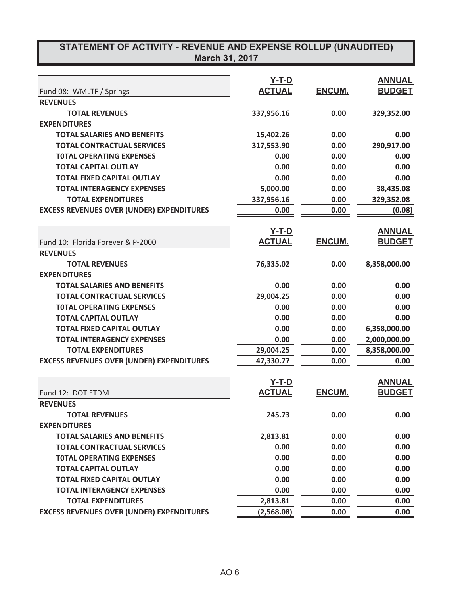| STATEMENT OF ACTIVITY - REVENUE AND EXPENSE ROLLUP (UNAUDITED)<br><b>March 31, 2017</b> |                               |               |                                |  |
|-----------------------------------------------------------------------------------------|-------------------------------|---------------|--------------------------------|--|
|                                                                                         |                               |               |                                |  |
|                                                                                         | <u>Y-T-D</u><br><b>ACTUAL</b> | ENCUM.        | <b>ANNUAL</b><br><b>BUDGET</b> |  |
| Fund 08: WMLTF / Springs                                                                |                               |               |                                |  |
| <b>REVENUES</b>                                                                         |                               |               |                                |  |
| <b>TOTAL REVENUES</b><br><b>EXPENDITURES</b>                                            | 337,956.16                    | 0.00          | 329,352.00                     |  |
| <b>TOTAL SALARIES AND BENEFITS</b>                                                      | 15,402.26                     | 0.00          | 0.00                           |  |
| <b>TOTAL CONTRACTUAL SERVICES</b>                                                       | 317,553.90                    | 0.00          | 290,917.00                     |  |
| <b>TOTAL OPERATING EXPENSES</b>                                                         | 0.00                          | 0.00          | 0.00                           |  |
| <b>TOTAL CAPITAL OUTLAY</b>                                                             | 0.00                          | 0.00          | 0.00                           |  |
| <b>TOTAL FIXED CAPITAL OUTLAY</b>                                                       | 0.00                          | 0.00          | 0.00                           |  |
| <b>TOTAL INTERAGENCY EXPENSES</b>                                                       | 5,000.00                      | 0.00          | 38,435.08                      |  |
| <b>TOTAL EXPENDITURES</b>                                                               | 337,956.16                    | 0.00          | 329,352.08                     |  |
| <b>EXCESS REVENUES OVER (UNDER) EXPENDITURES</b>                                        | 0.00                          | 0.00          | (0.08)                         |  |
|                                                                                         |                               |               |                                |  |
|                                                                                         | <u>Y-T-D</u>                  |               | <b>ANNUAL</b>                  |  |
| Fund 10: Florida Forever & P-2000                                                       | <b>ACTUAL</b>                 | ENCUM.        | <b>BUDGET</b>                  |  |
| <b>REVENUES</b>                                                                         |                               |               |                                |  |
| <b>TOTAL REVENUES</b>                                                                   | 76,335.02                     | 0.00          | 8,358,000.00                   |  |
| <b>EXPENDITURES</b>                                                                     |                               |               |                                |  |
| <b>TOTAL SALARIES AND BENEFITS</b>                                                      | 0.00                          | 0.00          | 0.00                           |  |
| <b>TOTAL CONTRACTUAL SERVICES</b>                                                       | 29,004.25                     | 0.00          | 0.00                           |  |
| <b>TOTAL OPERATING EXPENSES</b>                                                         | 0.00                          | 0.00          | 0.00                           |  |
| <b>TOTAL CAPITAL OUTLAY</b>                                                             | 0.00                          | 0.00          | 0.00                           |  |
| <b>TOTAL FIXED CAPITAL OUTLAY</b>                                                       | 0.00                          | 0.00          | 6,358,000.00                   |  |
| <b>TOTAL INTERAGENCY EXPENSES</b>                                                       | 0.00                          | 0.00          | 2,000,000.00                   |  |
| <b>TOTAL EXPENDITURES</b>                                                               | 29,004.25                     | 0.00          | 8,358,000.00                   |  |
| <b>EXCESS REVENUES OVER (UNDER) EXPENDITURES</b>                                        | 47,330.77                     | 0.00          | 0.00                           |  |
|                                                                                         |                               |               |                                |  |
|                                                                                         | <u>Y-T-D</u>                  |               | <b>ANNUAL</b>                  |  |
| Fund 12: DOT ETDM                                                                       | <b>ACTUAL</b>                 | <b>ENCUM.</b> | <b>BUDGET</b>                  |  |
| <b>REVENUES</b>                                                                         |                               |               |                                |  |
| <b>TOTAL REVENUES</b>                                                                   | 245.73                        | 0.00          | 0.00                           |  |
| <b>EXPENDITURES</b>                                                                     |                               |               |                                |  |
| <b>TOTAL SALARIES AND BENEFITS</b>                                                      | 2,813.81                      | 0.00          | 0.00                           |  |
| <b>TOTAL CONTRACTUAL SERVICES</b>                                                       | 0.00                          | 0.00          | 0.00                           |  |
| <b>TOTAL OPERATING EXPENSES</b>                                                         | 0.00                          | 0.00          | 0.00                           |  |
| <b>TOTAL CAPITAL OUTLAY</b>                                                             | 0.00                          | 0.00          | 0.00                           |  |
| <b>TOTAL FIXED CAPITAL OUTLAY</b>                                                       | 0.00                          | 0.00          | 0.00                           |  |
| <b>TOTAL INTERAGENCY EXPENSES</b>                                                       | 0.00                          | 0.00          | 0.00                           |  |
| <b>TOTAL EXPENDITURES</b>                                                               | 2,813.81                      | 0.00          | 0.00                           |  |
| <b>EXCESS REVENUES OVER (UNDER) EXPENDITURES</b>                                        | (2,568.08)                    | 0.00          | 0.00                           |  |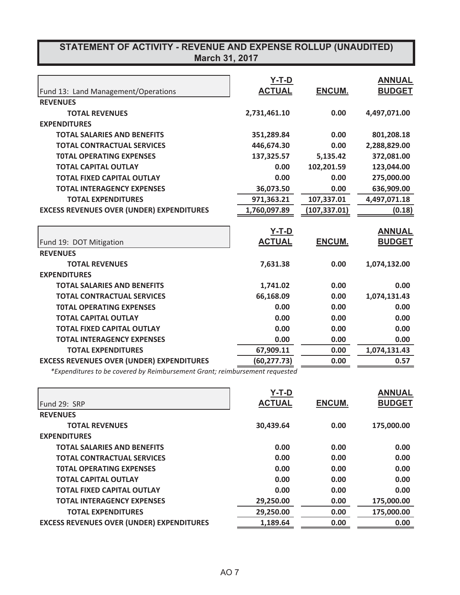## **STATEMENT OF ACTIVITY - REVENUE AND EXPENSE ROLLUP (UNAUDITED) March 31, 2017**

| Fund 13: Land Management/Operations              | Y-T-D<br><b>ACTUAL</b> | <b>ENCUM.</b> | <b>ANNUAL</b><br><b>BUDGET</b> |
|--------------------------------------------------|------------------------|---------------|--------------------------------|
| <b>REVENUES</b>                                  |                        |               |                                |
| <b>TOTAL REVENUES</b>                            | 2,731,461.10           | 0.00          | 4,497,071.00                   |
| <b>EXPENDITURES</b>                              |                        |               |                                |
| <b>TOTAL SALARIES AND BENEFITS</b>               | 351,289.84             | 0.00          | 801,208.18                     |
| <b>TOTAL CONTRACTUAL SERVICES</b>                | 446,674.30             | 0.00          | 2,288,829.00                   |
| <b>TOTAL OPERATING EXPENSES</b>                  | 137,325.57             | 5,135.42      | 372,081.00                     |
| <b>TOTAL CAPITAL OUTLAY</b>                      | 0.00                   | 102,201.59    | 123,044.00                     |
| <b>TOTAL FIXED CAPITAL OUTLAY</b>                | 0.00                   | 0.00          | 275,000.00                     |
| <b>TOTAL INTERAGENCY EXPENSES</b>                | 36,073.50              | 0.00          | 636,909.00                     |
| <b>TOTAL EXPENDITURES</b>                        | 971,363.21             | 107,337.01    | 4,497,071.18                   |
| <b>EXCESS REVENUES OVER (UNDER) EXPENDITURES</b> | 1,760,097.89           | (107, 337.01) | (0.18)                         |
|                                                  |                        |               |                                |
|                                                  | <u>Y-T-D</u>           |               | <b>ANNUAL</b>                  |
| Fund 19: DOT Mitigation                          | <b>ACTUAL</b>          | <b>ENCUM.</b> | <b>BUDGET</b>                  |
| <b>REVENUES</b>                                  |                        |               |                                |
| <b>TOTAL REVENUES</b>                            | 7,631.38               | 0.00          | 1,074,132.00                   |
| <b>EXPENDITURES</b>                              |                        |               |                                |
| <b>TOTAL SALARIES AND BENEFITS</b>               | 1,741.02               | 0.00          | 0.00                           |
| <b>TOTAL CONTRACTUAL SERVICES</b>                | 66,168.09              | 0.00          | 1,074,131.43                   |
| <b>TOTAL OPERATING EXPENSES</b>                  | 0.00                   | 0.00          | 0.00                           |
| <b>TOTAL CAPITAL OUTLAY</b>                      | 0.00                   | 0.00          | 0.00                           |
| <b>TOTAL FIXED CAPITAL OUTLAY</b>                | 0.00                   | 0.00          | 0.00                           |
| <b>TOTAL INTERAGENCY EXPENSES</b>                | 0.00                   | 0.00          | 0.00                           |
| <b>TOTAL EXPENDITURES</b>                        | 67,909.11              | 0.00          | 1,074,131.43                   |
|                                                  |                        |               |                                |
| <b>EXCESS REVENUES OVER (UNDER) EXPENDITURES</b> | (60, 277.73)           | 0.00          | 0.57                           |

*\*Expenditures to be covered by Reimbursement Grant; reimbursement requested*

|                                                  | $Y-T-D$       |               | <b>ANNUAL</b> |
|--------------------------------------------------|---------------|---------------|---------------|
| Fund 29: SRP                                     | <b>ACTUAL</b> | <b>ENCUM.</b> | <b>BUDGET</b> |
| <b>REVENUES</b>                                  |               |               |               |
| <b>TOTAL REVENUES</b>                            | 30,439.64     | 0.00          | 175,000.00    |
| <b>EXPENDITURES</b>                              |               |               |               |
| <b>TOTAL SALARIES AND BENEFITS</b>               | 0.00          | 0.00          | 0.00          |
| <b>TOTAL CONTRACTUAL SERVICES</b>                | 0.00          | 0.00          | 0.00          |
| <b>TOTAL OPERATING EXPENSES</b>                  | 0.00          | 0.00          | 0.00          |
| <b>TOTAL CAPITAL OUTLAY</b>                      | 0.00          | 0.00          | 0.00          |
| <b>TOTAL FIXED CAPITAL OUTLAY</b>                | 0.00          | 0.00          | 0.00          |
| <b>TOTAL INTERAGENCY EXPENSES</b>                | 29,250.00     | 0.00          | 175,000.00    |
| <b>TOTAL EXPENDITURES</b>                        | 29,250.00     | 0.00          | 175,000.00    |
| <b>EXCESS REVENUES OVER (UNDER) EXPENDITURES</b> | 1,189.64      | 0.00          | 0.00          |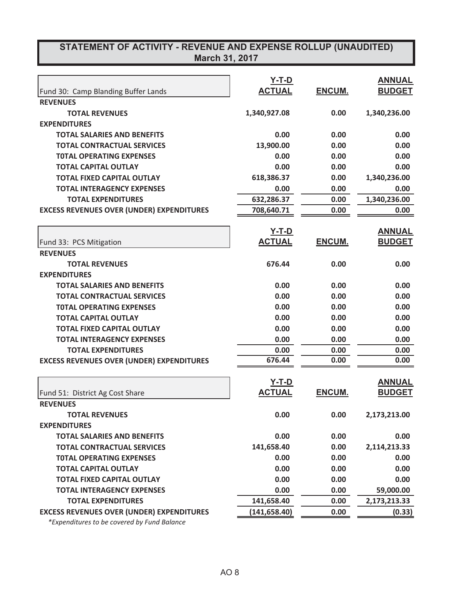## **STATEMENT OF ACTIVITY - REVENUE AND EXPENSE ROLLUP (UNAUDITED) March 31, 2017**

|                                                                      | <b>Y-T-D</b><br><b>ACTUAL</b> | ENCUM.        | <b>ANNUAL</b><br><b>BUDGET</b> |
|----------------------------------------------------------------------|-------------------------------|---------------|--------------------------------|
| Fund 30: Camp Blanding Buffer Lands<br><b>REVENUES</b>               |                               |               |                                |
| <b>TOTAL REVENUES</b>                                                |                               | 0.00          |                                |
| <b>EXPENDITURES</b>                                                  | 1,340,927.08                  |               | 1,340,236.00                   |
|                                                                      | 0.00                          | 0.00          | 0.00                           |
| <b>TOTAL SALARIES AND BENEFITS</b>                                   |                               |               | 0.00                           |
| <b>TOTAL CONTRACTUAL SERVICES</b><br><b>TOTAL OPERATING EXPENSES</b> | 13,900.00<br>0.00             | 0.00<br>0.00  | 0.00                           |
|                                                                      |                               |               |                                |
| <b>TOTAL CAPITAL OUTLAY</b>                                          | 0.00                          | 0.00          | 0.00                           |
| <b>TOTAL FIXED CAPITAL OUTLAY</b>                                    | 618,386.37                    | 0.00          | 1,340,236.00                   |
| <b>TOTAL INTERAGENCY EXPENSES</b>                                    | 0.00                          | 0.00          | 0.00                           |
| <b>TOTAL EXPENDITURES</b>                                            | 632,286.37                    | 0.00          | 1,340,236.00                   |
| <b>EXCESS REVENUES OVER (UNDER) EXPENDITURES</b>                     | 708,640.71                    | 0.00          | 0.00                           |
|                                                                      | <u>Y-T-D</u>                  |               | <b>ANNUAL</b>                  |
| Fund 33: PCS Mitigation                                              | <b>ACTUAL</b>                 | ENCUM.        | <b>BUDGET</b>                  |
| <b>REVENUES</b>                                                      |                               |               |                                |
| <b>TOTAL REVENUES</b>                                                | 676.44                        | 0.00          | 0.00                           |
| <b>EXPENDITURES</b>                                                  |                               |               |                                |
| <b>TOTAL SALARIES AND BENEFITS</b>                                   | 0.00                          | 0.00          | 0.00                           |
| <b>TOTAL CONTRACTUAL SERVICES</b>                                    | 0.00                          | 0.00          | 0.00                           |
| <b>TOTAL OPERATING EXPENSES</b>                                      | 0.00                          | 0.00          | 0.00                           |
| <b>TOTAL CAPITAL OUTLAY</b>                                          | 0.00                          | 0.00          | 0.00                           |
| <b>TOTAL FIXED CAPITAL OUTLAY</b>                                    | 0.00                          | 0.00          | 0.00                           |
| <b>TOTAL INTERAGENCY EXPENSES</b>                                    | 0.00                          | 0.00          | 0.00                           |
| <b>TOTAL EXPENDITURES</b>                                            | 0.00                          | 0.00          | 0.00                           |
| <b>EXCESS REVENUES OVER (UNDER) EXPENDITURES</b>                     | 676.44                        | 0.00          | 0.00                           |
|                                                                      | <u>Y-T-D</u>                  |               | <b>ANNUAL</b>                  |
|                                                                      | <b>ACTUAL</b>                 | <b>ENCUM.</b> | <b>BUDGET</b>                  |
| Fund 51: District Ag Cost Share<br><b>REVENUES</b>                   |                               |               |                                |
| <b>TOTAL REVENUES</b>                                                | 0.00                          | 0.00          | 2,173,213.00                   |
| <b>EXPENDITURES</b>                                                  |                               |               |                                |
|                                                                      | 0.00                          | 0.00          | 0.00                           |
| <b>TOTAL SALARIES AND BENEFITS</b>                                   | 141,658.40                    | 0.00          | 2,114,213.33                   |
| <b>TOTAL CONTRACTUAL SERVICES</b>                                    |                               |               |                                |
| <b>TOTAL OPERATING EXPENSES</b>                                      | 0.00                          | 0.00          | 0.00                           |
| <b>TOTAL CAPITAL OUTLAY</b>                                          | 0.00                          | 0.00          | 0.00                           |
| <b>TOTAL FIXED CAPITAL OUTLAY</b>                                    | 0.00                          | 0.00          | 0.00                           |
| <b>TOTAL INTERAGENCY EXPENSES</b>                                    | 0.00                          | 0.00          | 59,000.00                      |
| <b>TOTAL EXPENDITURES</b>                                            | 141,658.40                    | 0.00          | 2,173,213.33                   |
| <b>EXCESS REVENUES OVER (UNDER) EXPENDITURES</b>                     | (141, 658.40)                 | 0.00          | (0.33)                         |

*\*Expenditures to be covered by Fund Balance*